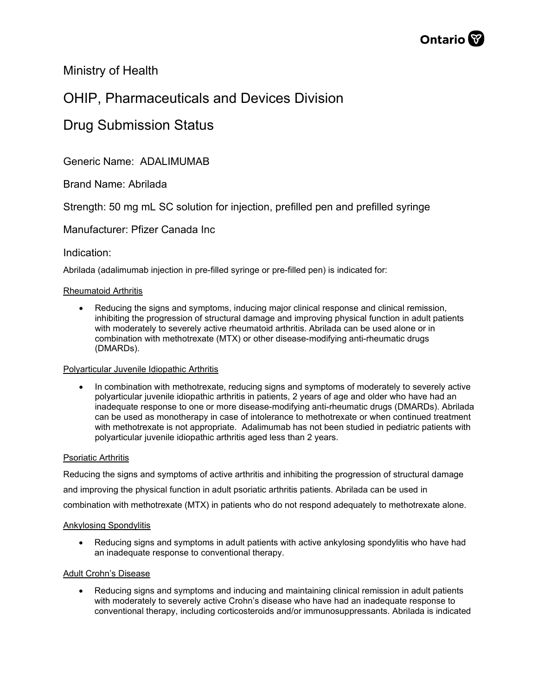

# Ministry of Health

# OHIP, Pharmaceuticals and Devices Division

# Drug Submission Status

Generic Name: ADALIMUMAB

Brand Name: Abrilada

Strength: 50 mg mL SC solution for injection, prefilled pen and prefilled syringe

# Manufacturer: Pfizer Canada Inc

## Indication:

Abrilada (adalimumab injection in pre-filled syringe or pre-filled pen) is indicated for:

## Rheumatoid Arthritis

• Reducing the signs and symptoms, inducing major clinical response and clinical remission, inhibiting the progression of structural damage and improving physical function in adult patients with moderately to severely active rheumatoid arthritis. Abrilada can be used alone or in combination with methotrexate (MTX) or other disease-modifying anti-rheumatic drugs (DMARDs).

## Polyarticular Juvenile Idiopathic Arthritis

• In combination with methotrexate, reducing signs and symptoms of moderately to severely active polyarticular juvenile idiopathic arthritis in patients, 2 years of age and older who have had an inadequate response to one or more disease-modifying anti-rheumatic drugs (DMARDs). Abrilada can be used as monotherapy in case of intolerance to methotrexate or when continued treatment with methotrexate is not appropriate. Adalimumab has not been studied in pediatric patients with polyarticular juvenile idiopathic arthritis aged less than 2 years.

## Psoriatic Arthritis

Reducing the signs and symptoms of active arthritis and inhibiting the progression of structural damage and improving the physical function in adult psoriatic arthritis patients. Abrilada can be used in combination with methotrexate (MTX) in patients who do not respond adequately to methotrexate alone.

## Ankylosing Spondylitis

• Reducing signs and symptoms in adult patients with active ankylosing spondylitis who have had an inadequate response to conventional therapy.

## Adult Crohn's Disease

• Reducing signs and symptoms and inducing and maintaining clinical remission in adult patients with moderately to severely active Crohn's disease who have had an inadequate response to conventional therapy, including corticosteroids and/or immunosuppressants. Abrilada is indicated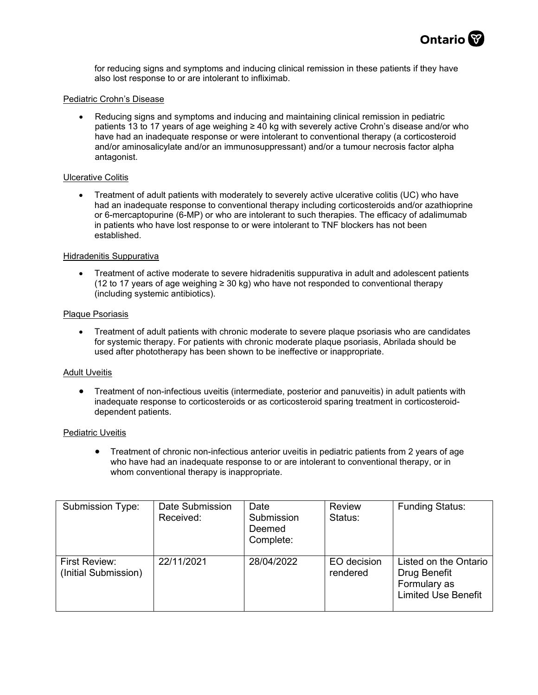

for reducing signs and symptoms and inducing clinical remission in these patients if they have also lost response to or are intolerant to infliximab.

#### Pediatric Crohn's Disease

• Reducing signs and symptoms and inducing and maintaining clinical remission in pediatric patients 13 to 17 years of age weighing ≥ 40 kg with severely active Crohn's disease and/or who have had an inadequate response or were intolerant to conventional therapy (a corticosteroid and/or aminosalicylate and/or an immunosuppressant) and/or a tumour necrosis factor alpha antagonist.

#### Ulcerative Colitis

• Treatment of adult patients with moderately to severely active ulcerative colitis (UC) who have had an inadequate response to conventional therapy including corticosteroids and/or azathioprine or 6-mercaptopurine (6-MP) or who are intolerant to such therapies. The efficacy of adalimumab in patients who have lost response to or were intolerant to TNF blockers has not been established.

#### Hidradenitis Suppurativa

• Treatment of active moderate to severe hidradenitis suppurativa in adult and adolescent patients (12 to 17 years of age weighing ≥ 30 kg) who have not responded to conventional therapy (including systemic antibiotics).

#### Plaque Psoriasis

• Treatment of adult patients with chronic moderate to severe plaque psoriasis who are candidates for systemic therapy. For patients with chronic moderate plaque psoriasis, Abrilada should be used after phototherapy has been shown to be ineffective or inappropriate.

#### Adult Uveitis

• Treatment of non-infectious uveitis (intermediate, posterior and panuveitis) in adult patients with inadequate response to corticosteroids or as corticosteroid sparing treatment in corticosteroiddependent patients.

#### Pediatric Uveitis

• Treatment of chronic non-infectious anterior uveitis in pediatric patients from 2 years of age who have had an inadequate response to or are intolerant to conventional therapy, or in whom conventional therapy is inappropriate.

| <b>Submission Type:</b>               | Date Submission<br>Received: | Date<br>Submission<br>Deemed<br>Complete: | <b>Review</b><br>Status: | <b>Funding Status:</b>                                                              |
|---------------------------------------|------------------------------|-------------------------------------------|--------------------------|-------------------------------------------------------------------------------------|
| First Review:<br>(Initial Submission) | 22/11/2021                   | 28/04/2022                                | EO decision<br>rendered  | Listed on the Ontario<br>Drug Benefit<br>Formulary as<br><b>Limited Use Benefit</b> |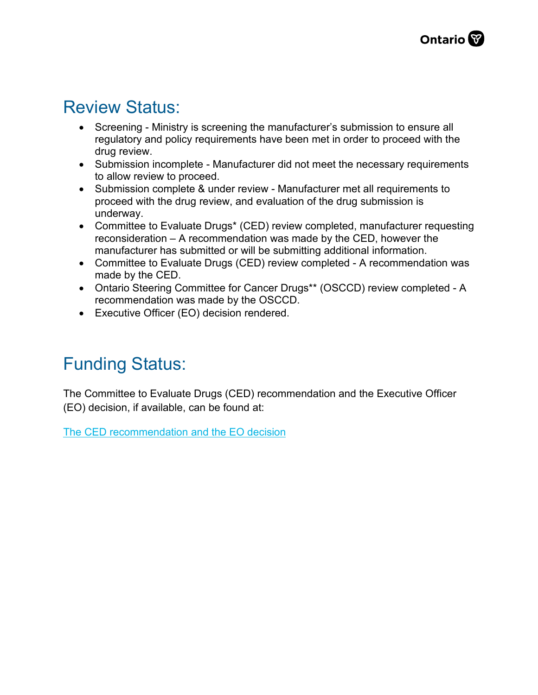# Review Status:

- Screening Ministry is screening the manufacturer's submission to ensure all regulatory and policy requirements have been met in order to proceed with the drug review.
- Submission incomplete Manufacturer did not meet the necessary requirements to allow review to proceed.
- Submission complete & under review Manufacturer met all requirements to proceed with the drug review, and evaluation of the drug submission is underway.
- Committee to Evaluate Drugs\* (CED) review completed, manufacturer requesting reconsideration – A recommendation was made by the CED, however the manufacturer has submitted or will be submitting additional information.
- Committee to Evaluate Drugs (CED) review completed A recommendation was made by the CED.
- Ontario Steering Committee for Cancer Drugs\*\* (OSCCD) review completed A recommendation was made by the OSCCD.
- Executive Officer (EO) decision rendered.

# Funding Status:

The Committee to Evaluate Drugs (CED) recommendation and the Executive Officer (EO) decision, if available, can be found at:

[The CED recommendation and the EO decision](http://www.health.gov.on.ca/en/pro/programs/drugs/ced_rec_table.aspx)